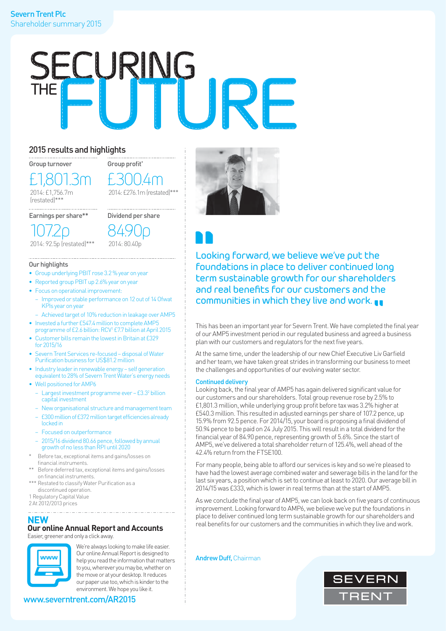

### 2015 results and highlights

Group turnover

£1,801.3m 2014: £1,756.7m (restated)\*\*\*

Group profit\*  $\pm \gamma$  $E276.1m$  (restated)\*\*\*

Dividend per share

Earnings per share\*\*

2014: 92.5p (restated)\*\*\* 84.90p 2014: 80.40p

### Our highlights

107.2p

- Group underlying PBIT rose 3.2 % year on year
- Reported group PBIT up 2.6% year on year
- Focus on operational improvement:
	- Improved or stable performance on 12 out of 14 Ofwat KPIs year on year
- Achieved target of 10% reduction in leakage over AMP5 • Invested a further £547.4 million to complete AMP5

- programme of £2.6 billion: RCV1 £7.7 billion at April 2015 • Customer bills remain the lowest in Britain at £329 for 2015/16
- Severn Trent Services re-focused disposal of Water Purification business for US\$81.2 million
- Industry leader in renewable energy self generation equivalent to 28% of Severn Trent Water's energy needs
- Well positioned for AMP6
	- Largest investment programme ever £3.32 billion capital investment
	- New organisational structure and management team
	- £300 million of £372 million target efficiencies already locked in
	- Focused on outperformance
	- 2015/16 dividend 80.66 pence, followed by annual growth of no less than RPI until 2020
- Before tax, exceptional items and gains/losses on financial instruments.
- Before deferred tax, exceptional items and gains/losses on financial instruments.
- \*\*\* Restated to classify Water Purification as a discontinued operation.

1 Regulatory Capital Value

2 At 2012/2013 prices 

# **NEW Our online Annual Report and Accounts**

Easier, greener and only a click away.



We're always looking to make life easier. Our online Annual Report is designed to help you read the information that matters to you, wherever you may be, whether on the move or at your desktop. It reduces our paper use too, which is kinder to the environment. We hope you like it.

www.severntrent.com/AR2015



Looking forward, we believe we've put the foundations in place to deliver continued long term sustainable growth for our shareholders and real benefits for our customers and the communities in which they live and work.

This has been an important year for Severn Trent. We have completed the final year of our AMP5 investment period in our regulated business and agreed a business plan with our customers and regulators for the next five years.

At the same time, under the leadership of our new Chief Executive Liv Garfield and her team, we have taken great strides in transforming our business to meet the challenges and opportunities of our evolving water sector.

### Continued delivery

Looking back, the final year of AMP5 has again delivered significant value for our customers and our shareholders. Total group revenue rose by 2.5% to £1,801.3 million, while underlying group profit before tax was 3.2% higher at £540.3 million. This resulted in adjusted earnings per share of 107.2 pence, up 15.9% from 92.5 pence. For 2014/15, your board is proposing a final dividend of 50.94 pence to be paid on 24 July 2015. This will result in a total dividend for the financial year of 84.90 pence, representing growth of 5.6%. Since the start of AMP5, we've delivered a total shareholder return of 125.4%, well ahead of the 42.4% return from the FTSE100.

For many people, being able to afford our services is key and so we're pleased to have had the lowest average combined water and sewerage bills in the land for the last six years, a position which is set to continue at least to 2020. Our average bill in 2014/15 was £333, which is lower in real terms than at the start of AMP5.

As we conclude the final year of AMP5, we can look back on five years of continuous improvement. Looking forward to AMP6, we believe we've put the foundations in place to deliver continued long term sustainable growth for our shareholders and real benefits for our customers and the communities in which they live and work.

Andrew Duff, Chairman

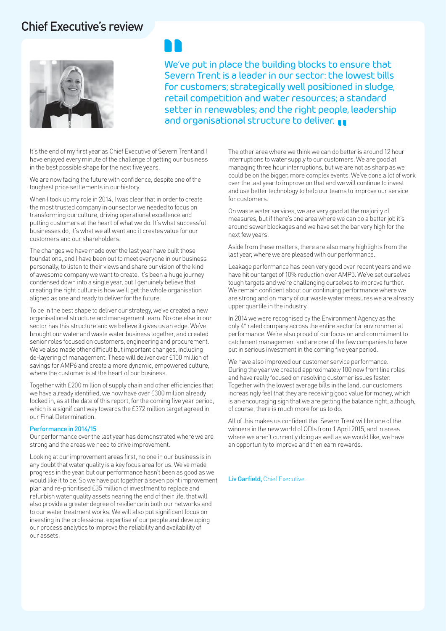### Chief Executive's review



We've put in place the building blocks to ensure that Severn Trent is a leader in our sector: the lowest bills for customers; strategically well positioned in sludge, retail competition and water resources; a standard setter in renewables; and the right people, leadership and organisational structure to deliver.

It's the end of my first year as Chief Executive of Severn Trent and I have enjoyed every minute of the challenge of getting our business in the best possible shape for the next five years.

We are now facing the future with confidence, despite one of the toughest price settlements in our history.

When I took up my role in 2014, I was clear that in order to create the most trusted company in our sector we needed to focus on transforming our culture, driving operational excellence and putting customers at the heart of what we do. It's what successful businesses do, it's what we all want and it creates value for our customers and our shareholders.

The changes we have made over the last year have built those foundations, and I have been out to meet everyone in our business personally, to listen to their views and share our vision of the kind of awesome company we want to create. It's been a huge journey condensed down into a single year, but I genuinely believe that creating the right culture is how we'll get the whole organisation aligned as one and ready to deliver for the future.

To be in the best shape to deliver our strategy, we've created a new organisational structure and management team. No one else in our sector has this structure and we believe it gives us an edge. We've brought our water and waste water business together, and created senior roles focused on customers, engineering and procurement. We've also made other difficult but important changes, including de-layering of management. These will deliver over £100 million of savings for AMP6 and create a more dynamic, empowered culture, where the customer is at the heart of our business.

Together with £200 million of supply chain and other efficiencies that we have already identified, we now have over £300 million already locked in, as at the date of this report, for the coming five year period, which is a significant way towards the £372 million target agreed in our Final Determination.

### Performance in 2014/15

Our performance over the last year has demonstrated where we are strong and the areas we need to drive improvement.

Looking at our improvement areas first, no one in our business is in any doubt that water quality is a key focus area for us. We've made progress in the year, but our performance hasn't been as good as we would like it to be. So we have put together a seven point improvement plan and re-prioritised £35 million of investment to replace and refurbish water quality assets nearing the end of their life, that will also provide a greater degree of resilience in both our networks and to our water treatment works. We will also put significant focus on investing in the professional expertise of our people and developing our process analytics to improve the reliability and availability of our assets.

The other area where we think we can do better is around 12 hour interruptions to water supply to our customers. We are good at managing three hour interruptions, but we are not as sharp as we could be on the bigger, more complex events. We've done a lot of work over the last year to improve on that and we will continue to invest and use better technology to help our teams to improve our service for customers.

On waste water services, we are very good at the majority of measures, but if there's one area where we can do a better job it's around sewer blockages and we have set the bar very high for the next few years.

Aside from these matters, there are also many highlights from the last year, where we are pleased with our performance.

Leakage performance has been very good over recent years and we have hit our target of 10% reduction over AMP5. We've set ourselves tough targets and we're challenging ourselves to improve further. We remain confident about our continuing performance where we are strong and on many of our waste water measures we are already upper quartile in the industry.

In 2014 we were recognised by the Environment Agency as the only 4\* rated company across the entire sector for environmental performance. We're also proud of our focus on and commitment to catchment management and are one of the few companies to have put in serious investment in the coming five year period.

We have also improved our customer service performance. During the year we created approximately 100 new front line roles and have really focused on resolving customer issues faster. Together with the lowest average bills in the land, our customers increasingly feel that they are receiving good value for money, which is an encouraging sign that we are getting the balance right; although, of course, there is much more for us to do.

All of this makes us confident that Severn Trent will be one of the winners in the new world of ODIs from 1 April 2015, and in areas where we aren't currently doing as well as we would like, we have an opportunity to improve and then earn rewards.

Liv Garfield, Chief Executive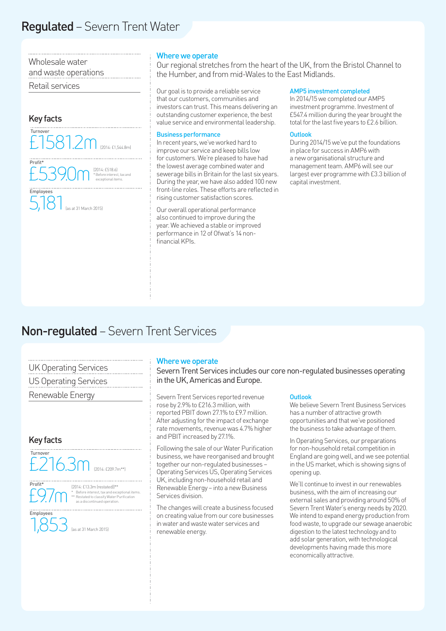## Regulated – Severn Trent Water

Wholesale water and waste operations

Retail services



### Where we operate

Our regional stretches from the heart of the UK, from the Bristol Channel to the Humber, and from mid-Wales to the East Midlands.

Our goal is to provide a reliable service that our customers, communities and investors can trust. This means delivering an outstanding customer experience, the best value service and environmental leadership.

### Business performance

In recent years, we've worked hard to improve our service and keep bills low for customers. We're pleased to have had the lowest average combined water and sewerage bills in Britain for the last six years. During the year, we have also added 100 new front-line roles. These efforts are reflected in rising customer satisfaction scores.

Our overall operational performance also continued to improve during the year. We achieved a stable or improved performance in 12 of Ofwat's 14 nonfinancial KPIs.

### AMP5 investment completed

In 2014/15 we completed our AMP5 investment programme. Investment of £547.4 million during the year brought the total for the last five years to £2.6 billion.

#### **Outlook**

During 2014/15 we've put the foundations in place for success in AMP6 with a new organisational structure and management team. AMP6 will see our largest ever programme with £3.3 billion of capital investment.

### Non-regulated – Severn Trent Services

| <b>UK Operating Services</b> |
|------------------------------|
| <b>US Operating Services</b> |
| Renewable Energy             |

### Key facts





Employees

(2014: £13.3m (restated))\*\* EOTT \* Before interest, tax and exceptional items.<br>
\* Restated to classify Water Purification<br>
as a discontinued operation.

1,853 (as at 31 March 2015)

### Where we operate

Severn Trent Services includes our core non-regulated businesses operating in the UK, Americas and Europe.

Severn Trent Services reported revenue rose by 2.9% to £216.3 million, with reported PBIT down 27.1% to £9.7 million. After adjusting for the impact of exchange rate movements, revenue was 4.7% higher and PBIT increased by 27.1%.

Following the sale of our Water Purification business, we have reorganised and brought together our non-regulated businesses – Operating Services US, Operating Services UK, including non-household retail and Renewable Energy – into a new Business Services division.

The changes will create a business focused on creating value from our core businesses in water and waste water services and renewable energy.

### **Outlook**

We believe Severn Trent Business Services has a number of attractive growth opportunities and that we've positioned the business to take advantage of them.

In Operating Services, our preparations for non-household retail competition in England are going well, and we see potential in the US market, which is showing signs of opening up.

We'll continue to invest in our renewables business, with the aim of increasing our external sales and providing around 50% of Severn Trent Water's energy needs by 2020. We intend to expand energy production from food waste, to upgrade our sewage anaerobic digestion to the latest technology and to add solar generation, with technological developments having made this more economically attractive.